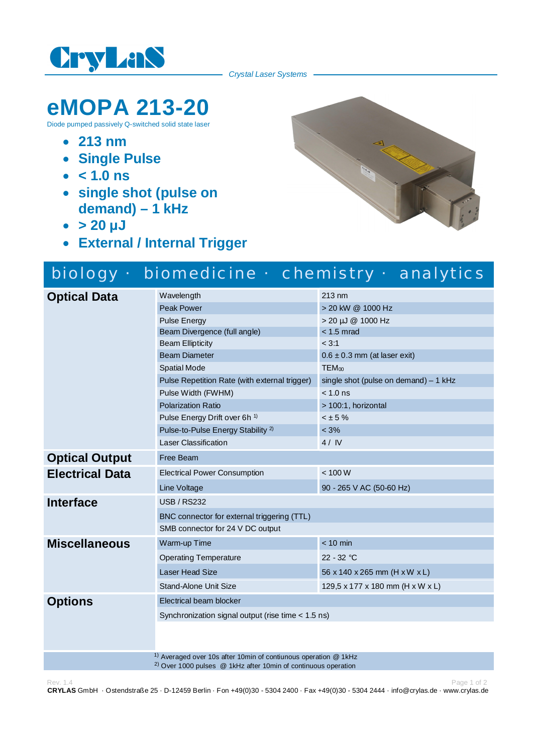

*Crystal Laser Systems*

## **eMOPA 213-20**

Diode pumped passively Q-switched solid state laser

- · **213 nm**
- · **Single Pulse**
- · **< 1.0 ns**
- · **single shot (pulse on demand) – 1 kHz**
- $\cdot$  > 20  $\mu$ J
- · **External / Internal Trigger**



|                        |                                                    | biology · biomedicine · chemistry · analytics |
|------------------------|----------------------------------------------------|-----------------------------------------------|
| <b>Optical Data</b>    | Wavelength                                         | $213 \text{ nm}$                              |
|                        | <b>Peak Power</b>                                  | > 20 kW @ 1000 Hz                             |
|                        | <b>Pulse Energy</b>                                | > 20 µJ @ 1000 Hz                             |
|                        | Beam Divergence (full angle)                       | $< 1.5$ mrad                                  |
|                        | <b>Beam Ellipticity</b>                            | < 3:1                                         |
|                        | <b>Beam Diameter</b>                               | $0.6 \pm 0.3$ mm (at laser exit)              |
|                        | <b>Spatial Mode</b>                                | $TEM_{00}$                                    |
|                        | Pulse Repetition Rate (with external trigger)      | single shot (pulse on demand) $-1$ kHz        |
|                        | Pulse Width (FWHM)                                 | $< 1.0$ ns                                    |
|                        | <b>Polarization Ratio</b>                          | > 100:1, horizontal                           |
|                        | Pulse Energy Drift over 6h <sup>1)</sup>           | $< \pm 5 \%$                                  |
|                        | Pulse-to-Pulse Energy Stability <sup>2)</sup>      | $< 3\%$                                       |
|                        | Laser Classification                               | 4/IV                                          |
| <b>Optical Output</b>  | Free Beam                                          |                                               |
| <b>Electrical Data</b> | <b>Electrical Power Consumption</b>                | < 100 W                                       |
|                        | Line Voltage                                       | 90 - 265 V AC (50-60 Hz)                      |
| <b>Interface</b>       | <b>USB / RS232</b>                                 |                                               |
|                        | BNC connector for external triggering (TTL)        |                                               |
|                        | SMB connector for 24 V DC output                   |                                               |
| <b>Miscellaneous</b>   | Warm-up Time                                       | $< 10$ min                                    |
|                        | <b>Operating Temperature</b>                       | $22 - 32 °C$                                  |
|                        | <b>Laser Head Size</b>                             | 56 x 140 x 265 mm (H x W x L)                 |
|                        | Stand-Alone Unit Size                              | 129,5 x 177 x 180 mm (H x W x L)              |
| <b>Options</b>         | Electrical beam blocker                            |                                               |
|                        | Synchronization signal output (rise time < 1.5 ns) |                                               |
|                        |                                                    |                                               |
|                        |                                                    |                                               |
|                        |                                                    |                                               |

<sup>1)</sup> Averaged over 10s after 10min of contiunous operation @ 1kHz

2) Over 1000 pulses @ 1kHz after 10min of continuous operation

Rev. 1.4 Page 1 of 2 **CRYLAS** GmbH · Ostendstraße 25 · D-12459 Berlin · Fon +49(0)30 - 5304 2400 · Fax +49(0)30 - 5304 2444 · info@crylas.de · www.crylas.de